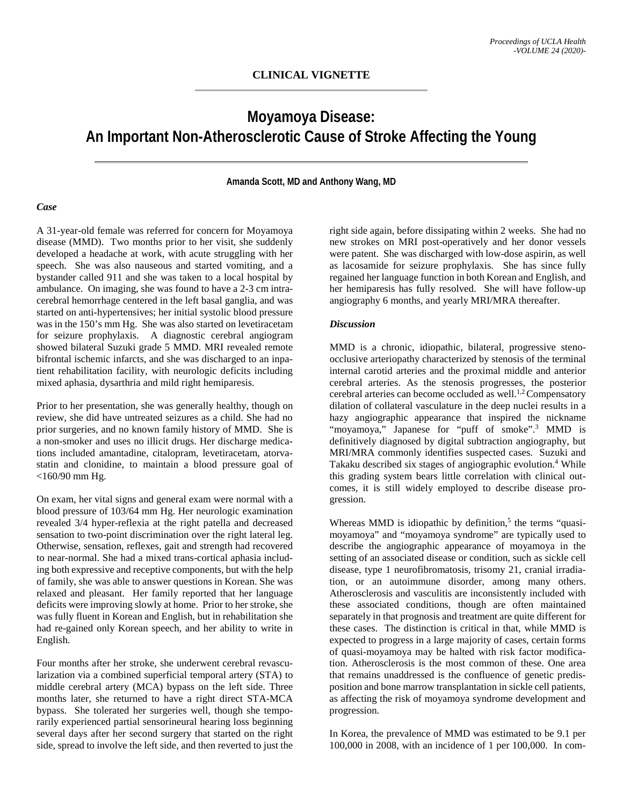## **Moyamoya Disease: An Important Non-Atherosclerotic Cause of Stroke Affecting the Young**

**Amanda Scott, MD and Anthony Wang, MD**

## *Case*

A 31-year-old female was referred for concern for Moyamoya disease (MMD). Two months prior to her visit, she suddenly developed a headache at work, with acute struggling with her speech. She was also nauseous and started vomiting, and a bystander called 911 and she was taken to a local hospital by ambulance. On imaging, she was found to have a 2-3 cm intracerebral hemorrhage centered in the left basal ganglia, and was started on anti-hypertensives; her initial systolic blood pressure was in the 150's mm Hg. She was also started on levetiracetam for seizure prophylaxis. A diagnostic cerebral angiogram showed bilateral Suzuki grade 5 MMD. MRI revealed remote bifrontal ischemic infarcts, and she was discharged to an inpatient rehabilitation facility, with neurologic deficits including mixed aphasia, dysarthria and mild right hemiparesis.

Prior to her presentation, she was generally healthy, though on review, she did have untreated seizures as a child. She had no prior surgeries, and no known family history of MMD. She is a non-smoker and uses no illicit drugs. Her discharge medications included amantadine, citalopram, levetiracetam, atorvastatin and clonidine, to maintain a blood pressure goal of <160/90 mm Hg.

On exam, her vital signs and general exam were normal with a blood pressure of 103/64 mm Hg. Her neurologic examination revealed 3/4 hyper-reflexia at the right patella and decreased sensation to two-point discrimination over the right lateral leg. Otherwise, sensation, reflexes, gait and strength had recovered to near-normal. She had a mixed trans-cortical aphasia including both expressive and receptive components, but with the help of family, she was able to answer questions in Korean. She was relaxed and pleasant. Her family reported that her language deficits were improving slowly at home. Prior to her stroke, she was fully fluent in Korean and English, but in rehabilitation she had re-gained only Korean speech, and her ability to write in English.

Four months after her stroke, she underwent cerebral revascularization via a combined superficial temporal artery (STA) to middle cerebral artery (MCA) bypass on the left side. Three months later, she returned to have a right direct STA-MCA bypass. She tolerated her surgeries well, though she temporarily experienced partial sensorineural hearing loss beginning several days after her second surgery that started on the right side, spread to involve the left side, and then reverted to just the right side again, before dissipating within 2 weeks. She had no new strokes on MRI post-operatively and her donor vessels were patent. She was discharged with low-dose aspirin, as well as lacosamide for seizure prophylaxis. She has since fully regained her language function in both Korean and English, and her hemiparesis has fully resolved. She will have follow-up angiography 6 months, and yearly MRI/MRA thereafter.

## *Discussion*

MMD is a chronic, idiopathic, bilateral, progressive stenoocclusive arteriopathy characterized by stenosis of the terminal internal carotid arteries and the proximal middle and anterior cerebral arteries. As the stenosis progresses, the posterior cerebral arteries can become occluded as well.<sup>1,2</sup> Compensatory dilation of collateral vasculature in the deep nuclei results in a hazy angiographic appearance that inspired the nickname "moyamoya," Japanese for "puff of smoke".<sup>3</sup> MMD is definitively diagnosed by digital subtraction angiography, but MRI/MRA commonly identifies suspected cases. Suzuki and Takaku described six stages of angiographic evolution.<sup>4</sup> While this grading system bears little correlation with clinical outcomes, it is still widely employed to describe disease progression.

Whereas MMD is idiopathic by definition,<sup>5</sup> the terms "quasimoyamoya" and "moyamoya syndrome" are typically used to describe the angiographic appearance of moyamoya in the setting of an associated disease or condition, such as sickle cell disease, type 1 neurofibromatosis, trisomy 21, cranial irradiation, or an autoimmune disorder, among many others. Atherosclerosis and vasculitis are inconsistently included with these associated conditions, though are often maintained separately in that prognosis and treatment are quite different for these cases. The distinction is critical in that, while MMD is expected to progress in a large majority of cases, certain forms of quasi-moyamoya may be halted with risk factor modification. Atherosclerosis is the most common of these. One area that remains unaddressed is the confluence of genetic predisposition and bone marrow transplantation in sickle cell patients, as affecting the risk of moyamoya syndrome development and progression.

In Korea, the prevalence of MMD was estimated to be 9.1 per 100,000 in 2008, with an incidence of 1 per 100,000. In com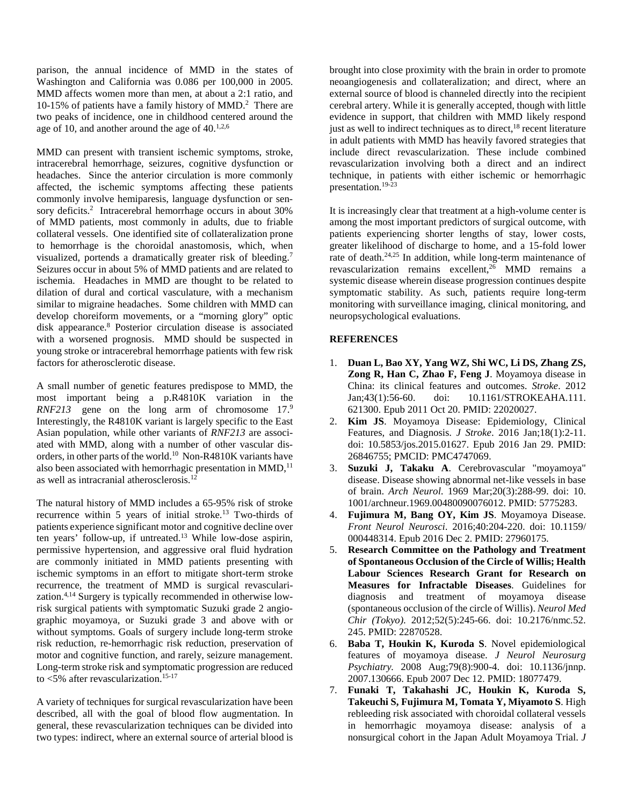parison, the annual incidence of MMD in the states of Washington and California was 0.086 per 100,000 in 2005. MMD affects women more than men, at about a 2:1 ratio, and 10-15% of patients have a family history of MMD.2 There are two peaks of incidence, one in childhood centered around the age of 10, and another around the age of  $40^{1,2,6}$ 

MMD can present with transient ischemic symptoms, stroke, intracerebral hemorrhage, seizures, cognitive dysfunction or headaches. Since the anterior circulation is more commonly affected, the ischemic symptoms affecting these patients commonly involve hemiparesis, language dysfunction or sensory deficits.<sup>2</sup> Intracerebral hemorrhage occurs in about 30% of MMD patients, most commonly in adults, due to friable collateral vessels. One identified site of collateralization prone to hemorrhage is the choroidal anastomosis, which, when visualized, portends a dramatically greater risk of bleeding.<sup>7</sup> Seizures occur in about 5% of MMD patients and are related to ischemia. Headaches in MMD are thought to be related to dilation of dural and cortical vasculature, with a mechanism similar to migraine headaches. Some children with MMD can develop choreiform movements, or a "morning glory" optic disk appearance.8 Posterior circulation disease is associated with a worsened prognosis. MMD should be suspected in young stroke or intracerebral hemorrhage patients with few risk factors for atherosclerotic disease.

A small number of genetic features predispose to MMD, the most important being a p.R4810K variation in the *RNF213* gene on the long arm of chromosome 17.9 Interestingly, the R4810K variant is largely specific to the East Asian population, while other variants of *RNF213* are associated with MMD, along with a number of other vascular disorders, in other parts of the world.10 Non-R4810K variants have also been associated with hemorrhagic presentation in MMD,<sup>11</sup> as well as intracranial atherosclerosis.12

The natural history of MMD includes a 65-95% risk of stroke recurrence within 5 years of initial stroke.13 Two-thirds of patients experience significant motor and cognitive decline over ten years' follow-up, if untreated.13 While low-dose aspirin, permissive hypertension, and aggressive oral fluid hydration are commonly initiated in MMD patients presenting with ischemic symptoms in an effort to mitigate short-term stroke recurrence, the treatment of MMD is surgical revascularization.4,14 Surgery is typically recommended in otherwise lowrisk surgical patients with symptomatic Suzuki grade 2 angiographic moyamoya, or Suzuki grade 3 and above with or without symptoms. Goals of surgery include long-term stroke risk reduction, re-hemorrhagic risk reduction, preservation of motor and cognitive function, and rarely, seizure management. Long-term stroke risk and symptomatic progression are reduced to <5% after revascularization.15-17

A variety of techniques for surgical revascularization have been described, all with the goal of blood flow augmentation. In general, these revascularization techniques can be divided into two types: indirect, where an external source of arterial blood is

brought into close proximity with the brain in order to promote neoangiogenesis and collateralization; and direct, where an external source of blood is channeled directly into the recipient cerebral artery. While it is generally accepted, though with little evidence in support, that children with MMD likely respond just as well to indirect techniques as to direct,<sup>18</sup> recent literature in adult patients with MMD has heavily favored strategies that include direct revascularization. These include combined revascularization involving both a direct and an indirect technique, in patients with either ischemic or hemorrhagic presentation.19-23

It is increasingly clear that treatment at a high-volume center is among the most important predictors of surgical outcome, with patients experiencing shorter lengths of stay, lower costs, greater likelihood of discharge to home, and a 15-fold lower rate of death.<sup>24,25</sup> In addition, while long-term maintenance of revascularization remains excellent, $26$  MMD remains a systemic disease wherein disease progression continues despite symptomatic stability. As such, patients require long-term monitoring with surveillance imaging, clinical monitoring, and neuropsychological evaluations.

## **REFERENCES**

- 1. **Duan L, Bao XY, Yang WZ, Shi WC, Li DS, Zhang ZS, Zong R, Han C, Zhao F, Feng J**. Moyamoya disease in China: its clinical features and outcomes. *Stroke*. 2012 Jan;43(1):56-60. doi: 10.1161/STROKEAHA.111. 621300. Epub 2011 Oct 20. PMID: 22020027.
- 2. **Kim JS**. Moyamoya Disease: Epidemiology, Clinical Features, and Diagnosis. *J Stroke*. 2016 Jan;18(1):2-11. doi: 10.5853/jos.2015.01627. Epub 2016 Jan 29. PMID: 26846755; PMCID: PMC4747069.
- 3. **Suzuki J, Takaku A**. Cerebrovascular "moyamoya" disease. Disease showing abnormal net-like vessels in base of brain. *Arch Neurol*. 1969 Mar;20(3):288-99. doi: 10. 1001/archneur.1969.00480090076012. PMID: 5775283.
- 4. **Fujimura M, Bang OY, Kim JS**. Moyamoya Disease. *Front Neurol Neurosci*. 2016;40:204-220. doi: 10.1159/ 000448314. Epub 2016 Dec 2. PMID: 27960175.
- 5. **Research Committee on the Pathology and Treatment of Spontaneous Occlusion of the Circle of Willis; Health Labour Sciences Research Grant for Research on Measures for Infractable Diseases**. Guidelines for diagnosis and treatment of moyamoya disease (spontaneous occlusion of the circle of Willis). *Neurol Med Chir (Tokyo)*. 2012;52(5):245-66. doi: 10.2176/nmc.52. 245. PMID: 22870528.
- 6. **Baba T, Houkin K, Kuroda S**. Novel epidemiological features of moyamoya disease. *J Neurol Neurosurg Psychiatry.* 2008 Aug;79(8):900-4. doi: 10.1136/jnnp. 2007.130666. Epub 2007 Dec 12. PMID: 18077479.
- 7. **Funaki T, Takahashi JC, Houkin K, Kuroda S, Takeuchi S, Fujimura M, Tomata Y, Miyamoto S**. High rebleeding risk associated with choroidal collateral vessels in hemorrhagic moyamoya disease: analysis of a nonsurgical cohort in the Japan Adult Moyamoya Trial. *J*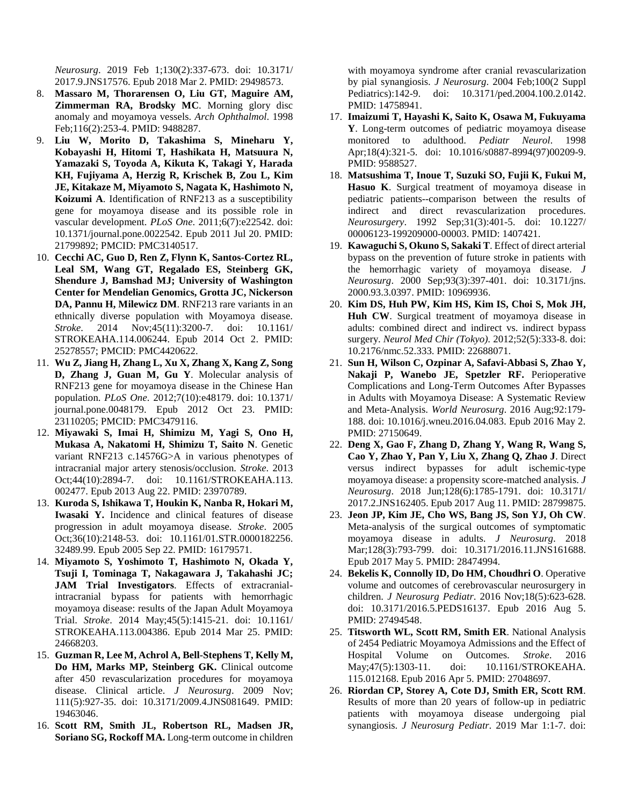*Neurosurg*. 2019 Feb 1;130(2):337-673. doi: 10.3171/ 2017.9.JNS17576. Epub 2018 Mar 2. PMID: 29498573.

- 8. **Massaro M, Thorarensen O, Liu GT, Maguire AM, Zimmerman RA, Brodsky MC**. Morning glory disc anomaly and moyamoya vessels. *Arch Ophthalmol*. 1998 Feb;116(2):253-4. PMID: 9488287.
- 9. **Liu W, Morito D, Takashima S, Mineharu Y, Kobayashi H, Hitomi T, Hashikata H, Matsuura N, Yamazaki S, Toyoda A, Kikuta K, Takagi Y, Harada KH, Fujiyama A, Herzig R, Krischek B, Zou L, Kim JE, Kitakaze M, Miyamoto S, Nagata K, Hashimoto N, Koizumi A**. Identification of RNF213 as a susceptibility gene for moyamoya disease and its possible role in vascular development. *PLoS One*. 2011;6(7):e22542. doi: 10.1371/journal.pone.0022542. Epub 2011 Jul 20. PMID: 21799892; PMCID: PMC3140517.
- 10. **Cecchi AC, Guo D, Ren Z, Flynn K, Santos-Cortez RL, Leal SM, Wang GT, Regalado ES, Steinberg GK, Shendure J, Bamshad MJ; University of Washington Center for Mendelian Genomics, Grotta JC, Nickerson DA, Pannu H, Milewicz DM**. RNF213 rare variants in an ethnically diverse population with Moyamoya disease. *Stroke*. 2014 Nov;45(11):3200-7. doi: 10.1161/ STROKEAHA.114.006244. Epub 2014 Oct 2. PMID: 25278557; PMCID: PMC4420622.
- 11. **Wu Z, Jiang H, Zhang L, Xu X, Zhang X, Kang Z, Song D, Zhang J, Guan M, Gu Y**. Molecular analysis of RNF213 gene for moyamoya disease in the Chinese Han population. *PLoS One*. 2012;7(10):e48179. doi: 10.1371/ journal.pone.0048179. Epub 2012 Oct 23. PMID: 23110205; PMCID: PMC3479116.
- 12. **Miyawaki S, Imai H, Shimizu M, Yagi S, Ono H, Mukasa A, Nakatomi H, Shimizu T, Saito N**. Genetic variant RNF213 c.14576G>A in various phenotypes of intracranial major artery stenosis/occlusion. *Stroke*. 2013 Oct;44(10):2894-7. doi: 10.1161/STROKEAHA.113. 002477. Epub 2013 Aug 22. PMID: 23970789.
- 13. **Kuroda S, Ishikawa T, Houkin K, Nanba R, Hokari M, Iwasaki Y.** Incidence and clinical features of disease progression in adult moyamoya disease. *Stroke*. 2005 Oct;36(10):2148-53. doi: 10.1161/01.STR.0000182256. 32489.99. Epub 2005 Sep 22. PMID: 16179571.
- 14. **Miyamoto S, Yoshimoto T, Hashimoto N, Okada Y, Tsuji I, Tominaga T, Nakagawara J, Takahashi JC; JAM Trial Investigators**. Effects of extracranialintracranial bypass for patients with hemorrhagic moyamoya disease: results of the Japan Adult Moyamoya Trial. *Stroke*. 2014 May;45(5):1415-21. doi: 10.1161/ STROKEAHA.113.004386. Epub 2014 Mar 25. PMID: 24668203.
- 15. **Guzman R, Lee M, Achrol A, Bell-Stephens T, Kelly M, Do HM, Marks MP, Steinberg GK.** Clinical outcome after 450 revascularization procedures for moyamoya disease. Clinical article. *J Neurosurg*. 2009 Nov; 111(5):927-35. doi: 10.3171/2009.4.JNS081649. PMID: 19463046.
- 16. **Scott RM, Smith JL, Robertson RL, Madsen JR, Soriano SG, Rockoff MA.** Long-term outcome in children

with moyamoya syndrome after cranial revascularization by pial synangiosis. *J Neurosurg*. 2004 Feb;100(2 Suppl Pediatrics):142-9. doi: 10.3171/ped.2004.100.2.0142. PMID: 14758941.

- 17. **Imaizumi T, Hayashi K, Saito K, Osawa M, Fukuyama Y**. Long-term outcomes of pediatric moyamoya disease monitored to adulthood. *Pediatr Neurol*. 1998 Apr;18(4):321-5. doi: 10.1016/s0887-8994(97)00209-9. PMID: 9588527.
- 18. **Matsushima T, Inoue T, Suzuki SO, Fujii K, Fukui M, Hasuo K**. Surgical treatment of moyamoya disease in pediatric patients--comparison between the results of indirect and direct revascularization procedures. *Neurosurgery*. 1992 Sep;31(3):401-5. doi: 10.1227/ 00006123-199209000-00003. PMID: 1407421.
- 19. **Kawaguchi S, Okuno S, Sakaki T**. Effect of direct arterial bypass on the prevention of future stroke in patients with the hemorrhagic variety of moyamoya disease. *J Neurosurg*. 2000 Sep;93(3):397-401. doi: 10.3171/jns. 2000.93.3.0397. PMID: 10969936.
- 20. **Kim DS, Huh PW, Kim HS, Kim IS, Choi S, Mok JH, Huh CW**. Surgical treatment of moyamoya disease in adults: combined direct and indirect vs. indirect bypass surgery. *Neurol Med Chir (Tokyo)*. 2012;52(5):333-8. doi: 10.2176/nmc.52.333. PMID: 22688071.
- 21. **Sun H, Wilson C, Ozpinar A, Safavi-Abbasi S, Zhao Y, Nakaji P, Wanebo JE, Spetzler RF.** Perioperative Complications and Long-Term Outcomes After Bypasses in Adults with Moyamoya Disease: A Systematic Review and Meta-Analysis. *World Neurosurg*. 2016 Aug;92:179- 188. doi: 10.1016/j.wneu.2016.04.083. Epub 2016 May 2. PMID: 27150649.
- 22. **Deng X, Gao F, Zhang D, Zhang Y, Wang R, Wang S, Cao Y, Zhao Y, Pan Y, Liu X, Zhang Q, Zhao J**. Direct versus indirect bypasses for adult ischemic-type moyamoya disease: a propensity score-matched analysis. *J Neurosurg*. 2018 Jun;128(6):1785-1791. doi: 10.3171/ 2017.2.JNS162405. Epub 2017 Aug 11. PMID: 28799875.
- 23. **Jeon JP, Kim JE, Cho WS, Bang JS, Son YJ, Oh CW**. Meta-analysis of the surgical outcomes of symptomatic moyamoya disease in adults. *J Neurosurg*. 2018 Mar;128(3):793-799. doi: 10.3171/2016.11.JNS161688. Epub 2017 May 5. PMID: 28474994.
- 24. **Bekelis K, Connolly ID, Do HM, Choudhri O**. Operative volume and outcomes of cerebrovascular neurosurgery in children. *J Neurosurg Pediatr*. 2016 Nov;18(5):623-628. doi: 10.3171/2016.5.PEDS16137. Epub 2016 Aug 5. PMID: 27494548.
- 25. **Titsworth WL, Scott RM, Smith ER**. National Analysis of 2454 Pediatric Moyamoya Admissions and the Effect of Hospital Volume on Outcomes. *Stroke*. 2016 May; 47(5): 1303-11. doi: 10.1161/STROKEAHA. 115.012168. Epub 2016 Apr 5. PMID: 27048697.
- 26. **Riordan CP, Storey A, Cote DJ, Smith ER, Scott RM**. Results of more than 20 years of follow-up in pediatric patients with moyamoya disease undergoing pial synangiosis. *J Neurosurg Pediatr*. 2019 Mar 1:1-7. doi: